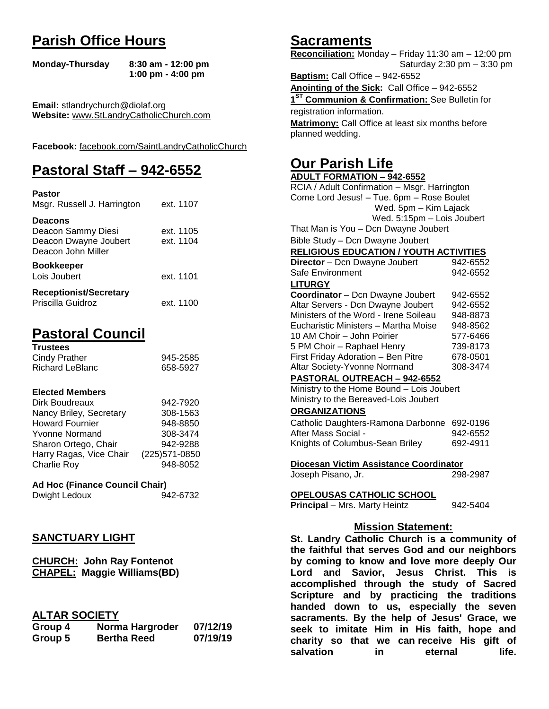# **Parish Office Hours**

```
Monday-Thursday 8:30 am - 12:00 pm
       1:00 pm - 4:00 pm
```
**Email:** stlandrychurch@diolaf.org **Website:** [www.StLandryCatholicChurch.com](http://www.stlandrycatholicchurch.com/)

**Facebook:** [facebook.com/SaintLandryCatholicChurch](http://facebook.com/SaintLandryCatholicChurch)

# **Pastoral Staff – 942-6552**

| <b>Pastor</b><br>Msgr. Russell J. Harrington                                        | ext. 1107              |
|-------------------------------------------------------------------------------------|------------------------|
| <b>Deacons</b><br>Deacon Sammy Diesi<br>Deacon Dwayne Joubert<br>Deacon John Miller | ext. 1105<br>ext. 1104 |
| <b>Bookkeeper</b><br>Lois Joubert                                                   | ext. 1101              |
| <b>Receptionist/Secretary</b><br>Priscilla Guidroz                                  | ext. 1100              |

# **Pastoral Council**

| <b>Trustees</b> |          |
|-----------------|----------|
| Cindy Prather   | 945-2585 |
| Richard LeBlanc | 658-5927 |

#### **Elected Members**

| Dirk Boudreaux          | 942-7920       |
|-------------------------|----------------|
| Nancy Briley, Secretary | 308-1563       |
| <b>Howard Fournier</b>  | 948-8850       |
| <b>Yvonne Normand</b>   | 308-3474       |
| Sharon Ortego, Chair    | 942-9288       |
| Harry Ragas, Vice Chair | (225) 571-0850 |
| <b>Charlie Roy</b>      | 948-8052       |

# **Ad Hoc (Finance Council Chair)**

Dwight Ledoux 942-6732

# **SANCTUARY LIGHT**

| <b>CHURCH: John Ray Fontenot</b>   |
|------------------------------------|
| <b>CHAPEL: Maggie Williams(BD)</b> |

# **ALTAR SOCIETY**

| Group 4 | Norma Hargroder    | 07/12/19 |
|---------|--------------------|----------|
| Group 5 | <b>Bertha Reed</b> | 07/19/19 |

# **Sacraments**

**Reconciliation:** Monday – Friday 11:30 am – 12:00 pm Saturday 2:30 pm – 3:30 pm

**Baptism:** Call Office – 942-6552 **Anointing of the Sick:** Call Office – 942-6552 **1 ST Communion & Confirmation:** See Bulletin for registration information. **Matrimony:** Call Office at least six months before planned wedding.

# **Our Parish Life**

| <b>ADULT FORMATION - 942-6552</b>              |          |  |
|------------------------------------------------|----------|--|
| RCIA / Adult Confirmation - Msgr. Harrington   |          |  |
| Come Lord Jesus! - Tue. 6pm - Rose Boulet      |          |  |
| Wed. 5pm - Kim Lajack                          |          |  |
| Wed. 5:15pm - Lois Joubert                     |          |  |
| That Man is You - Dcn Dwayne Joubert           |          |  |
| Bible Study - Dcn Dwayne Joubert               |          |  |
| <b>RELIGIOUS EDUCATION / YOUTH ACTIVITIES</b>  |          |  |
| <b>Director</b> - Dcn Dwayne Joubert           | 942-6552 |  |
| Safe Environment                               | 942-6552 |  |
| <b>LITURGY</b>                                 |          |  |
| Coordinator - Dcn Dwayne Joubert               | 942-6552 |  |
| Altar Servers - Dcn Dwayne Joubert             | 942-6552 |  |
| Ministers of the Word - Irene Soileau          | 948-8873 |  |
| Eucharistic Ministers - Martha Moise           | 948-8562 |  |
| 10 AM Choir - John Poirier                     | 577-6466 |  |
| 5 PM Choir - Raphael Henry                     | 739-8173 |  |
| First Friday Adoration - Ben Pitre             | 678-0501 |  |
| Altar Society-Yvonne Normand                   | 308-3474 |  |
| PASTORAL OUTREACH - 942-6552                   |          |  |
| Ministry to the Home Bound - Lois Joubert      |          |  |
| Ministry to the Bereaved-Lois Joubert          |          |  |
| <b>ORGANIZATIONS</b>                           |          |  |
| Catholic Daughters-Ramona Darbonne             | 692-0196 |  |
| After Mass Social -                            | 942-6552 |  |
| Knights of Columbus-Sean Briley                | 692-4911 |  |
|                                                |          |  |
| Diocesan Victim Assistance Coordinator         |          |  |
| Joseph Pisano, Jr.                             | 298-2987 |  |
| <b>OPELOUSAS CATHOLIC SCHOOL</b>               |          |  |
| Principal - Mrs. Marty Heintz                  | 942-5404 |  |
|                                                |          |  |
| <b>Mission Statement:</b>                      |          |  |
| St. Landry Catholic Church is a community of   |          |  |
| the faithful that serves God and our neighbors |          |  |
| by coming to know and love more deeply Our     |          |  |
| Savior, Jesus Christ. This<br>Lord<br>and      | is       |  |
| accomplished through the study of Sacred       |          |  |

**Lord and Savior, Jesus Christ. This is accomplished through the study of Sacred Scripture and by practicing the traditions handed down to us, especially the seven sacraments. By the help of Jesus' Grace, we seek to imitate Him in His faith, hope and charity so that we can receive His gift of salvation in** eternal life.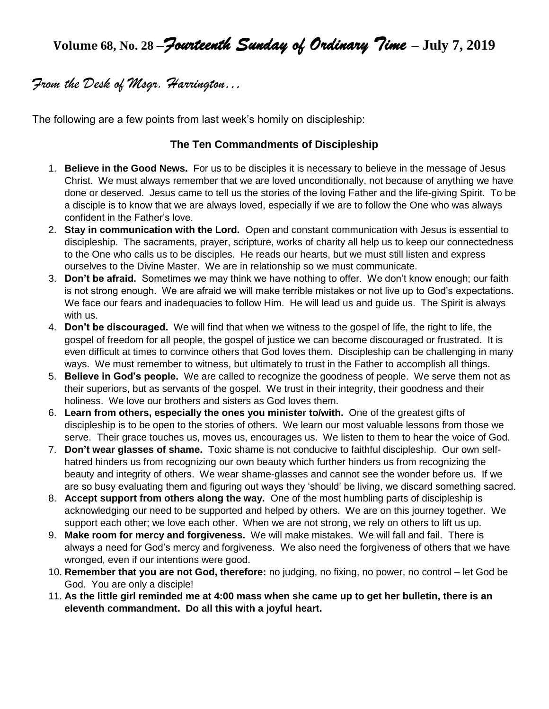# **Volume 68, No. 28 –***Fourteenth Sunday of Ordinary Time* **– July 7, 2019**

# *From the Desk of Msgr. Harrington…*

The following are a few points from last week's homily on discipleship:

# **The Ten Commandments of Discipleship**

- 1. **Believe in the Good News.** For us to be disciples it is necessary to believe in the message of Jesus Christ. We must always remember that we are loved unconditionally, not because of anything we have done or deserved. Jesus came to tell us the stories of the loving Father and the life-giving Spirit. To be a disciple is to know that we are always loved, especially if we are to follow the One who was always confident in the Father's love.
- 2. **Stay in communication with the Lord.** Open and constant communication with Jesus is essential to discipleship. The sacraments, prayer, scripture, works of charity all help us to keep our connectedness to the One who calls us to be disciples. He reads our hearts, but we must still listen and express ourselves to the Divine Master. We are in relationship so we must communicate.
- 3. **Don't be afraid.** Sometimes we may think we have nothing to offer. We don't know enough; our faith is not strong enough. We are afraid we will make terrible mistakes or not live up to God's expectations. We face our fears and inadequacies to follow Him. He will lead us and guide us. The Spirit is always with us.
- 4. **Don't be discouraged.** We will find that when we witness to the gospel of life, the right to life, the gospel of freedom for all people, the gospel of justice we can become discouraged or frustrated. It is even difficult at times to convince others that God loves them. Discipleship can be challenging in many ways. We must remember to witness, but ultimately to trust in the Father to accomplish all things.
- 5. **Believe in God's people.** We are called to recognize the goodness of people. We serve them not as their superiors, but as servants of the gospel. We trust in their integrity, their goodness and their holiness. We love our brothers and sisters as God loves them.
- 6. **Learn from others, especially the ones you minister to/with.** One of the greatest gifts of discipleship is to be open to the stories of others. We learn our most valuable lessons from those we serve. Their grace touches us, moves us, encourages us. We listen to them to hear the voice of God.
- 7. **Don't wear glasses of shame.** Toxic shame is not conducive to faithful discipleship. Our own selfhatred hinders us from recognizing our own beauty which further hinders us from recognizing the beauty and integrity of others. We wear shame-glasses and cannot see the wonder before us. If we are so busy evaluating them and figuring out ways they 'should' be living, we discard something sacred.
- 8. **Accept support from others along the way.** One of the most humbling parts of discipleship is acknowledging our need to be supported and helped by others. We are on this journey together. We support each other; we love each other. When we are not strong, we rely on others to lift us up.
- 9. **Make room for mercy and forgiveness.** We will make mistakes. We will fall and fail. There is always a need for God's mercy and forgiveness. We also need the forgiveness of others that we have wronged, even if our intentions were good.
- 10. **Remember that you are not God, therefore:** no judging, no fixing, no power, no control let God be God. You are only a disciple!
- 11. **As the little girl reminded me at 4:00 mass when she came up to get her bulletin, there is an eleventh commandment. Do all this with a joyful heart.**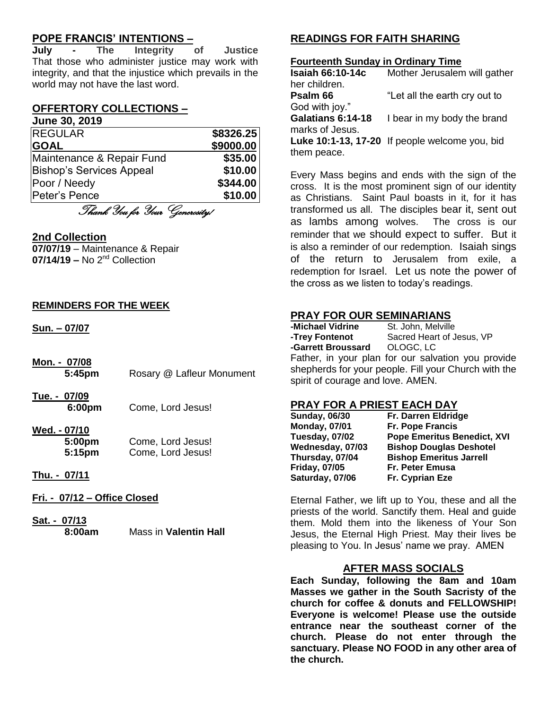# **POPE FRANCIS' INTENTIONS –**

**July - The Integrity of Justice** That those who administer justice may work with integrity, and that the injustice which prevails in the world may not have the last word.

# **OFFERTORY COLLECTIONS –**

#### **June 30, 2019**

| <b>REGULAR</b>                  | \$8326.25 |
|---------------------------------|-----------|
| <b>GOAL</b>                     | \$9000.00 |
| Maintenance & Repair Fund       | \$35.00   |
| <b>Bishop's Services Appeal</b> | \$10.00   |
| Poor / Needy                    | \$344.00  |
| Peter's Pence                   | \$10.00   |

Thank You for Your Generosity!

#### **2nd Collection**

**07/07/19** – Maintenance & Repair **07/14/19 –** No 2nd Collection

#### **REMINDERS FOR THE WEEK**

**Sun. – 07/07**

**Mon. - 07/08 5:45pm** Rosary @ Lafleur Monument

**Tue. - 07/09 6:00pm** Come, Lord Jesus!

#### **Wed. - 07/10**

| 5:00pm | Come, Lord Jesus! |
|--------|-------------------|
| 5:15pm | Come, Lord Jesus! |

#### **Thu. - 07/11**

**Fri. - 07/12 – Office Closed**

**Sat. - 07/13 8:00am** Mass in **Valentin Hall**

# **READINGS FOR FAITH SHARING**

#### **Fourteenth Sunday in Ordinary Time**

| Mother Jerusalem will gather                   |
|------------------------------------------------|
|                                                |
| "Let all the earth cry out to                  |
|                                                |
| I bear in my body the brand                    |
|                                                |
| Luke 10:1-13, 17-20 If people welcome you, bid |
|                                                |
|                                                |

Every Mass begins and ends with the sign of the cross. It is the most prominent sign of our identity as Christians. Saint Paul boasts in it, for it has transformed us all. The disciples bear it, sent out as lambs among wolves. The cross is our reminder that we should expect to suffer. But it is also a reminder of our redemption. Isaiah sings of the return to Jerusalem from exile, a redemption for Israel. Let us note the power of the cross as we listen to today's readings.

#### **PRAY FOR OUR SEMINARIANS**

| -Michael Vidrine                  | St. John, Melville                                   |
|-----------------------------------|------------------------------------------------------|
| -Trey Fontenot                    | Sacred Heart of Jesus, VP                            |
| -Garrett Broussard OLOGC, LC      |                                                      |
|                                   | Father, in your plan for our salvation you provide   |
|                                   | shepherds for your people. Fill your Church with the |
| spirit of courage and love. AMEN. |                                                      |

## **PRAY FOR A PRIEST EACH DAY**

| <b>Sunday, 06/30</b> | Fr. Darren Eldridge                |
|----------------------|------------------------------------|
| <b>Monday, 07/01</b> | <b>Fr. Pope Francis</b>            |
| Tuesday, 07/02       | <b>Pope Emeritus Benedict, XVI</b> |
| Wednesday, 07/03     | <b>Bishop Douglas Deshotel</b>     |
| Thursday, 07/04      | <b>Bishop Emeritus Jarrell</b>     |
| <b>Friday, 07/05</b> | Fr. Peter Emusa                    |
| Saturday, 07/06      | Fr. Cyprian Eze                    |

Eternal Father, we lift up to You, these and all the priests of the world. Sanctify them. Heal and guide them. Mold them into the likeness of Your Son Jesus, the Eternal High Priest. May their lives be pleasing to You. In Jesus' name we pray. AMEN

#### **AFTER MASS SOCIALS**

**Each Sunday, following the 8am and 10am Masses we gather in the South Sacristy of the church for coffee & donuts and FELLOWSHIP! Everyone is welcome! Please use the outside entrance near the southeast corner of the church. Please do not enter through the sanctuary. Please NO FOOD in any other area of the church.**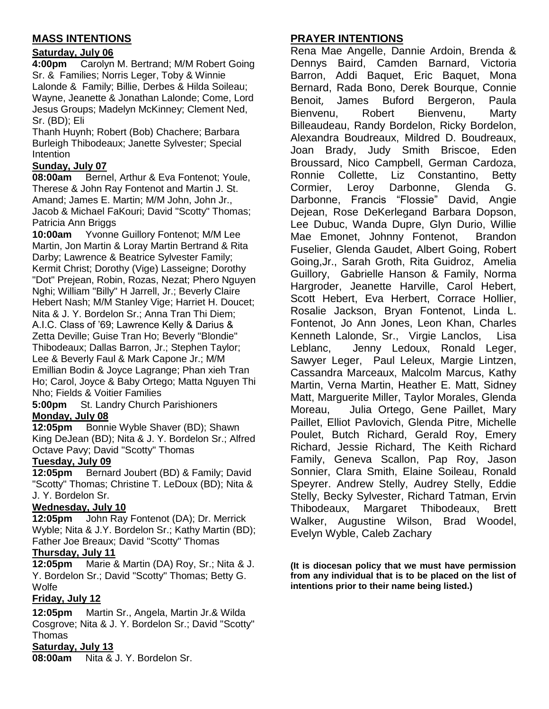# **MASS INTENTIONS**

# **Saturday, July 06**

**4:00pm** Carolyn M. Bertrand; M/M Robert Going Sr. & Families; Norris Leger, Toby & Winnie Lalonde & Family; Billie, Derbes & Hilda Soileau; Wayne, Jeanette & Jonathan Lalonde; Come, Lord Jesus Groups; Madelyn McKinney; Clement Ned, Sr. (BD); Eli

Thanh Huynh; Robert (Bob) Chachere; Barbara Burleigh Thibodeaux; Janette Sylvester; Special Intention

# **Sunday, July 07**

**08:00am** Bernel, Arthur & Eva Fontenot; Youle, Therese & John Ray Fontenot and Martin J. St. Amand; James E. Martin; M/M John, John Jr., Jacob & Michael FaKouri; David "Scotty" Thomas; Patricia Ann Briggs

**10:00am** Yvonne Guillory Fontenot; M/M Lee Martin, Jon Martin & Loray Martin Bertrand & Rita Darby; Lawrence & Beatrice Sylvester Family; Kermit Christ; Dorothy (Vige) Lasseigne; Dorothy "Dot" Prejean, Robin, Rozas, Nezat; Phero Nguyen Nghi; William "Billy" H Jarrell, Jr.; Beverly Claire Hebert Nash; M/M Stanley Vige; Harriet H. Doucet; Nita & J. Y. Bordelon Sr.; Anna Tran Thi Diem; A.I.C. Class of '69; Lawrence Kelly & Darius & Zetta Deville; Guise Tran Ho; Beverly "Blondie" Thibodeaux; Dallas Barron, Jr.; Stephen Taylor; Lee & Beverly Faul & Mark Capone Jr.; M/M Emillian Bodin & Joyce Lagrange; Phan xieh Tran Ho; Carol, Joyce & Baby Ortego; Matta Nguyen Thi Nho; Fields & Voitier Families

**5:00pm** St. Landry Church Parishioners **Monday, July 08**

**12:05pm** Bonnie Wyble Shaver (BD); Shawn King DeJean (BD); Nita & J. Y. Bordelon Sr.; Alfred Octave Pavy; David "Scotty" Thomas

# **Tuesday, July 09**

**12:05pm** Bernard Joubert (BD) & Family; David "Scotty" Thomas; Christine T. LeDoux (BD); Nita & J. Y. Bordelon Sr.

# **Wednesday, July 10**

**12:05pm** John Ray Fontenot (DA); Dr. Merrick Wyble; Nita & J.Y. Bordelon Sr.; Kathy Martin (BD); Father Joe Breaux; David "Scotty" Thomas

# **Thursday, July 11**

**12:05pm** Marie & Martin (DA) Roy, Sr.; Nita & J. Y. Bordelon Sr.; David "Scotty" Thomas; Betty G. **Wolfe** 

# **Friday, July 12**

**12:05pm** Martin Sr., Angela, Martin Jr.& Wilda Cosgrove; Nita & J. Y. Bordelon Sr.; David "Scotty" **Thomas** 

# **Saturday, July 13**

**08:00am** Nita & J. Y. Bordelon Sr.

# **PRAYER INTENTIONS**

Rena Mae Angelle, Dannie Ardoin, Brenda & Dennys Baird, Camden Barnard, Victoria Barron, Addi Baquet, Eric Baquet, Mona Bernard, Rada Bono, Derek Bourque, Connie Benoit, James Buford Bergeron, Paula Bienvenu, Robert Bienvenu, Marty Billeaudeau, Randy Bordelon, Ricky Bordelon, Alexandra Boudreaux, Mildred D. Boudreaux, Joan Brady, Judy Smith Briscoe, Eden Broussard, Nico Campbell, German Cardoza, Ronnie Collette, Liz Constantino, Betty Cormier, Leroy Darbonne, Glenda G. Darbonne, Francis "Flossie" David, Angie Dejean, Rose DeKerlegand Barbara Dopson, Lee Dubuc, Wanda Dupre, Glyn Durio, Willie Mae Emonet, Johnny Fontenot, Brandon Fuselier, Glenda Gaudet, Albert Going, Robert Going,Jr., Sarah Groth, Rita Guidroz, Amelia Guillory, Gabrielle Hanson & Family, Norma Hargroder, Jeanette Harville, Carol Hebert, Scott Hebert, Eva Herbert, Corrace Hollier, Rosalie Jackson, Bryan Fontenot, Linda L. Fontenot, Jo Ann Jones, Leon Khan, Charles Kenneth Lalonde, Sr., Virgie Lanclos, Lisa Leblanc, Jenny Ledoux, Ronald Leger, Sawyer Leger, Paul Leleux, Margie Lintzen, Cassandra Marceaux, Malcolm Marcus, Kathy Martin, Verna Martin, Heather E. Matt, Sidney Matt, Marguerite Miller, Taylor Morales, Glenda Moreau, Julia Ortego, Gene Paillet, Mary Paillet, Elliot Pavlovich, Glenda Pitre, Michelle Poulet, Butch Richard, Gerald Roy, Emery Richard, Jessie Richard, The Keith Richard Family, Geneva Scallon, Pap Roy, Jason Sonnier, Clara Smith, Elaine Soileau, Ronald Speyrer. Andrew Stelly, Audrey Stelly, Eddie Stelly, Becky Sylvester, Richard Tatman, Ervin Thibodeaux, Margaret Thibodeaux, Brett Walker, Augustine Wilson, Brad Woodel, Evelyn Wyble, Caleb Zachary

**(It is diocesan policy that we must have permission from any individual that is to be placed on the list of intentions prior to their name being listed.)**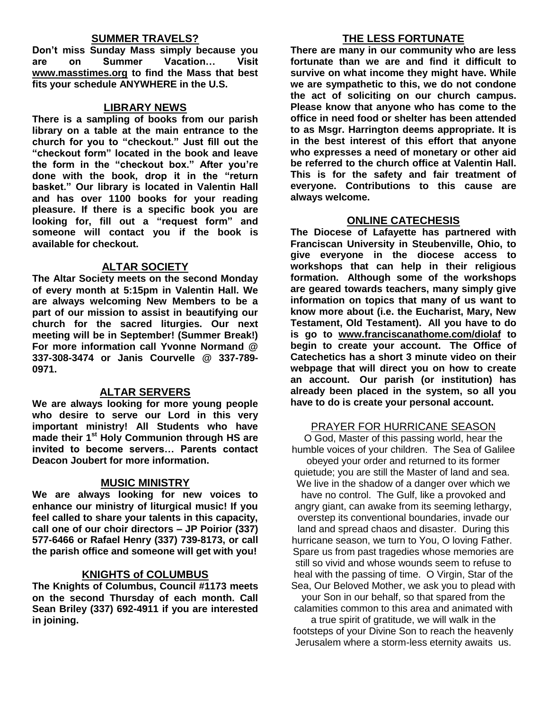## **SUMMER TRAVELS?**

**Don't miss Sunday Mass simply because you are on Summer Vacation… Visit [www.masstimes.org](http://www.masstimes.org/) to find the Mass that best fits your schedule ANYWHERE in the U.S.**

#### **LIBRARY NEWS**

**There is a sampling of books from our parish library on a table at the main entrance to the church for you to "checkout." Just fill out the "checkout form" located in the book and leave the form in the "checkout box." After you're done with the book, drop it in the "return basket." Our library is located in Valentin Hall and has over 1100 books for your reading pleasure. If there is a specific book you are looking for, fill out a "request form" and someone will contact you if the book is available for checkout.**

#### **ALTAR SOCIETY**

**The Altar Society meets on the second Monday of every month at 5:15pm in Valentin Hall. We are always welcoming New Members to be a part of our mission to assist in beautifying our church for the sacred liturgies. Our next meeting will be in September! (Summer Break!) For more information call Yvonne Normand @ 337-308-3474 or Janis Courvelle @ 337-789- 0971.** 

## **ALTAR SERVERS**

**We are always looking for more young people who desire to serve our Lord in this very important ministry! All Students who have made their 1st Holy Communion through HS are invited to become servers… Parents contact Deacon Joubert for more information.**

#### **MUSIC MINISTRY**

**We are always looking for new voices to enhance our ministry of liturgical music! If you feel called to share your talents in this capacity, call one of our choir directors – JP Poirior (337) 577-6466 or Rafael Henry (337) 739-8173, or call the parish office and someone will get with you!**

#### **KNIGHTS of COLUMBUS**

**The Knights of Columbus, Council #1173 meets on the second Thursday of each month. Call Sean Briley (337) 692-4911 if you are interested in joining.** 

## **THE LESS FORTUNATE**

**There are many in our community who are less fortunate than we are and find it difficult to survive on what income they might have. While we are sympathetic to this, we do not condone the act of soliciting on our church campus. Please know that anyone who has come to the office in need food or shelter has been attended to as Msgr. Harrington deems appropriate. It is in the best interest of this effort that anyone who expresses a need of monetary or other aid be referred to the church office at Valentin Hall. This is for the safety and fair treatment of everyone. Contributions to this cause are always welcome.**

## **ONLINE CATECHESIS**

**The Diocese of Lafayette has partnered with Franciscan University in Steubenville, Ohio, to give everyone in the diocese access to workshops that can help in their religious formation. Although some of the workshops are geared towards teachers, many simply give information on topics that many of us want to know more about (i.e. the Eucharist, Mary, New Testament, Old Testament). All you have to do is go to [www.franciscanathome.com/diolaf](http://www.franciscanathome.com/diolaf) to begin to create your account. The Office of Catechetics has a short 3 minute video on their webpage that will direct you on how to create an account. Our parish (or institution) has already been placed in the system, so all you have to do is create your personal account.**

#### PRAYER FOR HURRICANE SEASON

O God, Master of this passing world, hear the humble voices of your children. The Sea of Galilee obeyed your order and returned to its former quietude; you are still the Master of land and sea. We live in the shadow of a danger over which we have no control. The Gulf, like a provoked and angry giant, can awake from its seeming lethargy, overstep its conventional boundaries, invade our land and spread chaos and disaster. During this hurricane season, we turn to You, O loving Father. Spare us from past tragedies whose memories are still so vivid and whose wounds seem to refuse to heal with the passing of time. O Virgin, Star of the Sea, Our Beloved Mother, we ask you to plead with your Son in our behalf, so that spared from the

calamities common to this area and animated with

a true spirit of gratitude, we will walk in the footsteps of your Divine Son to reach the heavenly Jerusalem where a storm-less eternity awaits us.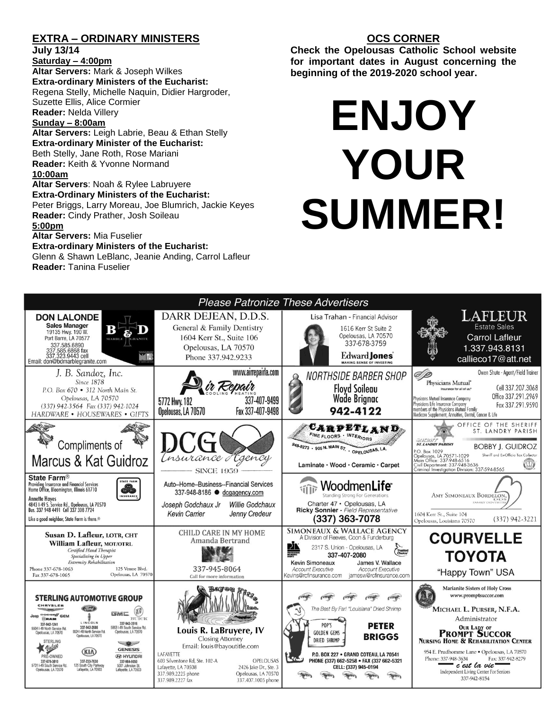# **EXTRA – ORDINARY MINISTERS**

**July 13/14**

**Saturday – 4:00pm Altar Servers:** Mark & Joseph Wilkes **Extra-ordinary Ministers of the Eucharist:**  Regena Stelly, Michelle Naquin, Didier Hargroder, Suzette Ellis, Alice Cormier **Reader:** Nelda Villery

#### **Sunday – 8:00am**

**Altar Servers:** Leigh Labrie, Beau & Ethan Stelly **Extra-ordinary Minister of the Eucharist:** Beth Stelly, Jane Roth, Rose Mariani **Reader:** Keith & Yvonne Normand **10:00am**

**Altar Servers**: Noah & Rylee Labruyere **Extra-Ordinary Ministers of the Eucharist:** Peter Briggs, Larry Moreau, Joe Blumrich, Jackie Keyes **Reader:** Cindy Prather, Josh Soileau

#### **5:00pm**

**Altar Servers:** Mia Fuselier

#### **Extra-ordinary Ministers of the Eucharist:**

Glenn & Shawn LeBlanc, Jeanie Anding, Carrol Lafleur **Reader:** Tanina Fuselier

# **OCS CORNER**

**Check the Opelousas Catholic School website for important dates in August concerning the beginning of the 2019-2020 school year.** 

# **ENJOY YOUR SUMMER!**